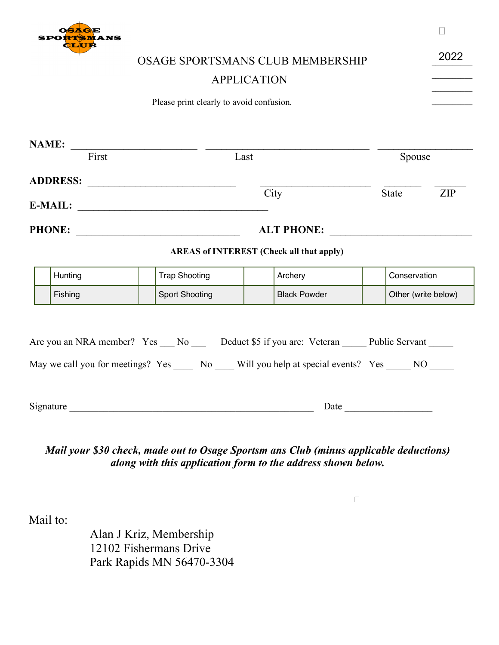

 $\overline{V}$  $\Box$ 

| <b>QLUE</b> |                                                                                                     |                                                                                               | 2022                |
|-------------|-----------------------------------------------------------------------------------------------------|-----------------------------------------------------------------------------------------------|---------------------|
|             |                                                                                                     | <b>OSAGE SPORTSMANS CLUB MEMBERSHIP</b>                                                       |                     |
|             |                                                                                                     | <b>APPLICATION</b>                                                                            |                     |
|             | Please print clearly to avoid confusion.                                                            |                                                                                               |                     |
|             |                                                                                                     |                                                                                               |                     |
|             |                                                                                                     |                                                                                               |                     |
|             | $\textbf{NAME:}$ $\frac{ }{\text{First}}$ $\frac{ }{\text{First}}$                                  | Last                                                                                          | Spouse              |
|             |                                                                                                     |                                                                                               |                     |
|             |                                                                                                     | City                                                                                          | State<br><b>ZIP</b> |
|             |                                                                                                     |                                                                                               |                     |
|             |                                                                                                     |                                                                                               |                     |
|             |                                                                                                     | <b>AREAS of INTEREST (Check all that apply)</b>                                               |                     |
| Hunting     | <b>Trap Shooting</b>                                                                                | Archery                                                                                       | Conservation        |
| Fishing     | <b>Sport Shooting</b>                                                                               | <b>Black Powder</b>                                                                           | Other (write below) |
|             |                                                                                                     | Are you an NRA member? Yes __ No __ Deduct \$5 if you are: Veteran _____ Public Servant _____ |                     |
|             | May we call you for meetings? Yes _____ No ____ Will you help at special events? Yes _____ NO _____ |                                                                                               |                     |

## *Return check for \$50 (minus applicable deductions) made out to Osage Sportsmans Club along Mail your \$30 check, made out to Osage Sportsm ans Club (minus applicable deductions) with this application form to the address shown below. along with this application form to the address shown below.*

 $Mail$  to:  $\blacksquare$ 

Alan J Kriz, Membership 12102 Fishermans Drive Park Rapids MN 56470-3304 Effective January 1, 2013, members of the  $\Box$